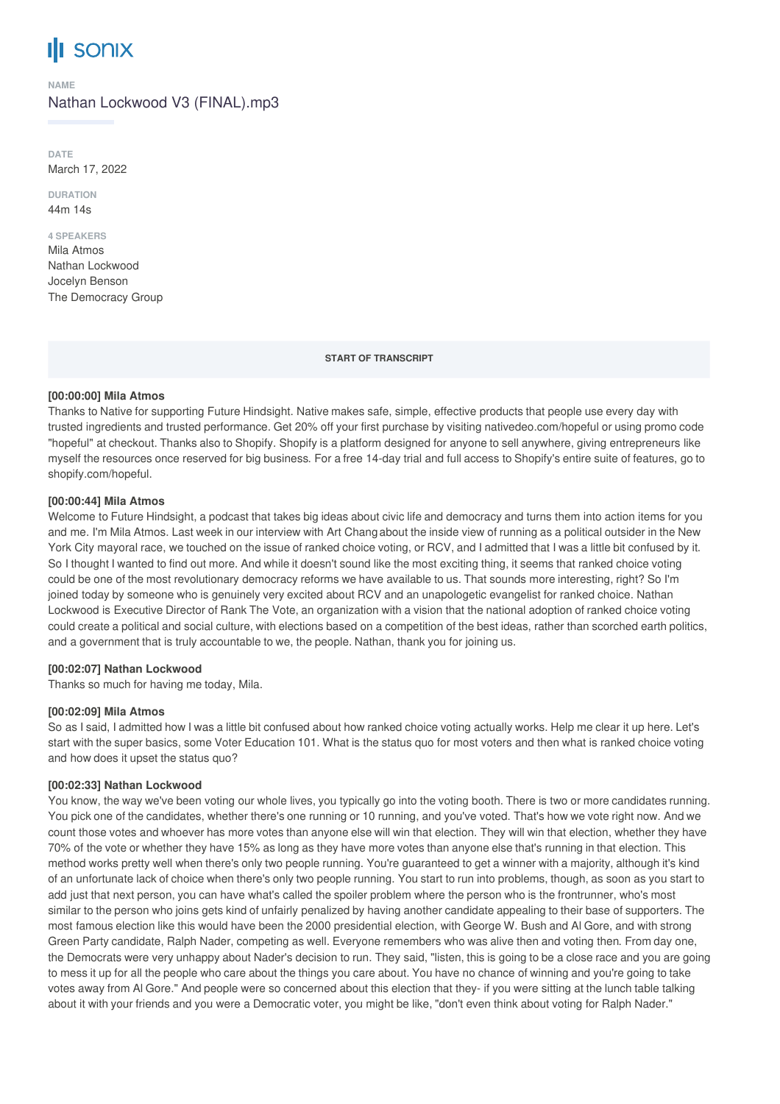# **SONIX**

#### **NAME**

Nathan Lockwood V3 (FINAL).mp3

**DATE** March 17, 2022

**DURATION** 44m 14s

#### **4 SPEAKERS**

Mila Atmos Nathan Lockwood Jocelyn Benson The Democracy Group

**START OF TRANSCRIPT**

#### **[00:00:00] Mila Atmos**

Thanks to Native for supporting Future Hindsight. Native makes safe, simple, effective products that people use every day with trusted ingredients and trusted performance. Get 20% off your first purchase by visiting nativedeo.com/hopeful or using promo code "hopeful" at checkout. Thanks also to Shopify. Shopify is a platform designed for anyone to sell anywhere, giving entrepreneurs like myself the resources once reserved for big business. For a free 14-day trial and full access to Shopify's entire suite of features, go to shopify.com/hopeful.

#### **[00:00:44] Mila Atmos**

Welcome to Future Hindsight, a podcast that takes big ideas about civic life and democracy and turns them into action items for you and me. I'm Mila Atmos. Last week in our interview with Art Chang about the inside view of running as a political outsider in the New York City mayoral race, we touched on the issue of ranked choice voting, or RCV, and I admitted that I was a little bit confused by it. So I thought I wanted to find out more. And while it doesn't sound like the most exciting thing, it seems that ranked choice voting could be one of the most revolutionary democracy reforms we have available to us. That sounds more interesting, right? So I'm joined today by someone who is genuinely very excited about RCV and an unapologetic evangelist for ranked choice. Nathan Lockwood is Executive Director of Rank The Vote, an organization with a vision that the national adoption of ranked choice voting could create a political and social culture, with elections based on a competition of the best ideas, rather than scorched earth politics, and a government that is truly accountable to we, the people. Nathan, thank you for joining us.

# **[00:02:07] Nathan Lockwood**

Thanks so much for having me today, Mila.

#### **[00:02:09] Mila Atmos**

So as I said, I admitted how I was a little bit confused about how ranked choice voting actually works. Help me clear it up here. Let's start with the super basics, some Voter Education 101. What is the status quo for most voters and then what is ranked choice voting and how does it upset the status quo?

# **[00:02:33] Nathan Lockwood**

You know, the way we've been voting our whole lives, you typically go into the voting booth. There is two or more candidates running. You pick one of the candidates, whether there's one running or 10 running, and you've voted. That's how we vote right now. And we count those votes and whoever has more votes than anyone else will win that election. They will win that election, whether they have 70% of the vote or whether they have 15% as long as they have more votes than anyone else that's running in that election. This method works pretty well when there's only two people running. You're guaranteed to get a winner with a majority, although it's kind of an unfortunate lack of choice when there's only two people running. You start to run into problems, though, as soon as you start to add just that next person, you can have what's called the spoiler problem where the person who is the frontrunner, who's most similar to the person who joins gets kind of unfairly penalized by having another candidate appealing to their base of supporters. The most famous election like this would have been the 2000 presidential election, with George W. Bush and Al Gore, and with strong Green Party candidate, Ralph Nader, competing as well. Everyone remembers who was alive then and voting then. From day one, the Democrats were very unhappy about Nader's decision to run. They said, "listen, this is going to be a close race and you are going to mess it up for all the people who care about the things you care about. You have no chance of winning and you're going to take votes away from Al Gore." And people were so concerned about this election that they- if you were sitting at the lunch table talking about it with your friends and you were a Democratic voter, you might be like, "don't even think about voting for Ralph Nader."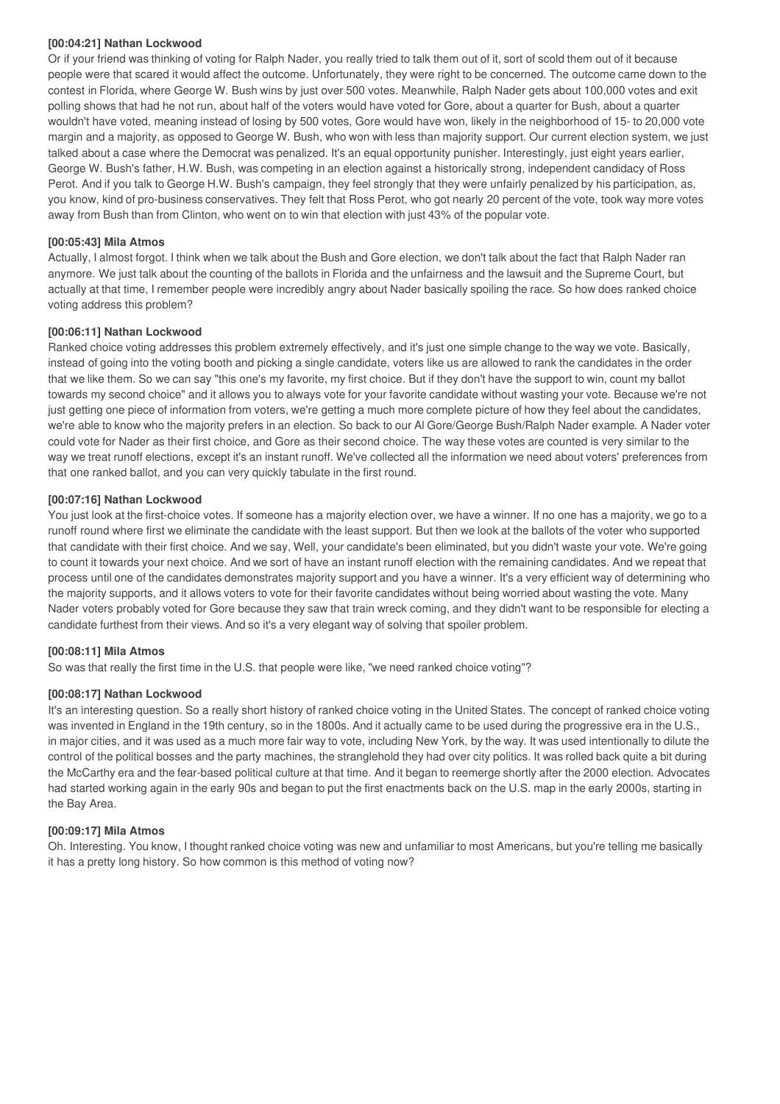#### **[00:04:21] Nathan Lockwood**

Or if your friend was thinking of voting for Ralph Nader, you really tried to talk them out of it, sort of scold them out of it because people were that scared it would affect the outcome. Unfortunately, they were right to be concerned. The outcome came down to the contest in Florida, where George W. Bush wins by just over 500 votes. Meanwhile, Ralph Nader gets about 100,000 votes and exit polling shows that had he not run, about half of the voters would have voted for Gore, about a quarter for Bush, about a quarter wouldn't have voted, meaning instead of losing by 500 votes, Gore would have won, likely in the neighborhood of 15- to 20,000 vote margin and a majority, as opposed to George W. Bush, who won with less than majority support. Our current election system, we just talked about a case where the Democrat was penalized. It's an equal opportunity punisher. Interestingly, just eight years earlier, George W. Bush's father, H.W. Bush, was competing in an election against a historically strong, independent candidacy of Ross Perot. And if you talk to George H.W. Bush's campaign, they feel strongly that they were unfairly penalized by his participation, as, you know, kind of pro-business conservatives. They felt that Ross Perot, who got nearly 20 percent of the vote, took way more votes away from Bush than from Clinton, who went on to win that election with just 43% of the popular vote.

# **[00:05:43] Mila Atmos**

Actually, I almost forgot. I think when we talk about the Bush and Gore election, we don't talk about the fact that Ralph Nader ran anymore. We just talk about the counting of the ballots in Florida and the unfairness and the lawsuit and the Supreme Court, but actually at that time, I remember people were incredibly angry about Nader basically spoiling the race. So how does ranked choice voting address this problem?

# **[00:06:11] Nathan Lockwood**

Ranked choice voting addresses this problem extremely effectively, and it's just one simple change to the way we vote. Basically, instead of going into the voting booth and picking a single candidate, voters like us are allowed to rank the candidates in the order that we like them. So we can say "this one's my favorite, my first choice. But if they don't have the support to win, count my ballot towards my second choice" and it allows you to always vote for your favorite candidate without wasting your vote. Because we're not just getting one piece of information from voters, we're getting a much more complete picture of how they feel about the candidates, we're able to know who the majority prefers in an election. So back to our Al Gore/George Bush/Ralph Nader example. A Nader voter could vote for Nader as their first choice, and Gore as their second choice. The way these votes are counted is very similar to the way we treat runoff elections, except it's an instant runoff. We've collected all the information we need about voters' preferences from that one ranked ballot, and you can very quickly tabulate in the first round.

# **[00:07:16] Nathan Lockwood**

You just look at the first-choice votes. If someone has a majority election over, we have a winner. If no one has a majority, we go to a runoff round where first we eliminate the candidate with the least support. But then we look at the ballots of the voter who supported that candidate with their first choice. And we say, Well, your candidate's been eliminated, but you didn't waste your vote. We're going to count it towards your next choice. And we sort of have an instant runoff election with the remaining candidates. And we repeat that process until one of the candidates demonstrates majority support and you have a winner. It's a very efficient way of determining who the majority supports, and it allows voters to vote for their favorite candidates without being worried about wasting the vote. Many Nader voters probably voted for Gore because they saw that train wreck coming, and they didn't want to be responsible for electing a candidate furthest from their views. And so it's a very elegant way of solving that spoiler problem.

# **[00:08:11] Mila Atmos**

So was that really the first time in the U.S. that people were like, "we need ranked choice voting"?

# **[00:08:17] Nathan Lockwood**

It's an interesting question. So a really short history of ranked choice voting in the United States. The concept of ranked choice voting was invented in England in the 19th century, so in the 1800s. And it actually came to be used during the progressive era in the U.S., in major cities, and it was used as a much more fair way to vote, including New York, by the way. It was used intentionally to dilute the control of the political bosses and the party machines, the stranglehold they had over city politics. It was rolled back quite a bit during the McCarthy era and the fear-based political culture at that time. And it began to reemerge shortly after the 2000 election. Advocates had started working again in the early 90s and began to put the first enactments back on the U.S. map in the early 2000s, starting in the Bay Area.

# **[00:09:17] Mila Atmos**

Oh. Interesting. You know, I thought ranked choice voting was new and unfamiliar to most Americans, but you're telling me basically it has a pretty long history. So how common is this method of voting now?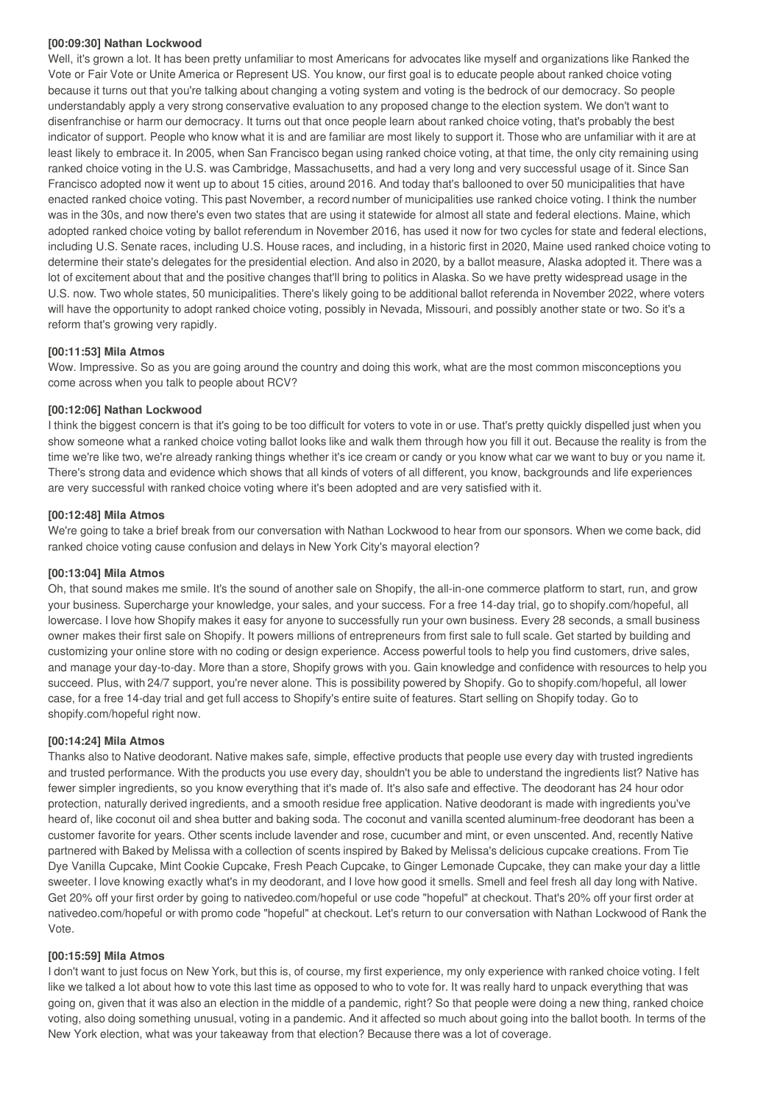#### **[00:09:30] Nathan Lockwood**

Well, it's grown a lot. It has been pretty unfamiliar to most Americans for advocates like myself and organizations like Ranked the Vote or Fair Vote or Unite America or Represent US. You know, our first goal is to educate people about ranked choice voting because it turns out that you're talking about changing a voting system and voting is the bedrock of our democracy. So people understandably apply a very strong conservative evaluation to any proposed change to the election system. We don't want to disenfranchise or harm our democracy. It turns out that once people learn about ranked choice voting, that's probably the best indicator of support. People who know what it is and are familiar are most likely to support it. Those who are unfamiliar with it are at least likely to embrace it. In 2005, when San Francisco began using ranked choice voting, at that time, the only city remaining using ranked choice voting in the U.S. was Cambridge, Massachusetts, and had a very long and very successful usage of it. Since San Francisco adopted now it went up to about 15 cities, around 2016. And today that's ballooned to over 50 municipalities that have enacted ranked choice voting. This past November, a record number of municipalities use ranked choice voting. I think the number was in the 30s, and now there's even two states that are using it statewide for almost all state and federal elections. Maine, which adopted ranked choice voting by ballot referendum in November 2016, has used it now for two cycles for state and federal elections, including U.S. Senate races, including U.S. House races, and including, in a historic first in 2020, Maine used ranked choice voting to determine their state's delegates for the presidential election. And also in 2020, by a ballot measure, Alaska adopted it. There was a lot of excitement about that and the positive changes that'll bring to politics in Alaska. So we have pretty widespread usage in the U.S. now. Two whole states, 50 municipalities. There's likely going to be additional ballot referenda in November 2022, where voters will have the opportunity to adopt ranked choice voting, possibly in Nevada, Missouri, and possibly another state or two. So it's a reform that's growing very rapidly.

# **[00:11:53] Mila Atmos**

Wow. Impressive. So as you are going around the country and doing this work, what are the most common misconceptions you come across when you talk to people about RCV?

# **[00:12:06] Nathan Lockwood**

I think the biggest concern is that it's going to be too difficult for voters to vote in or use. That's pretty quickly dispelled just when you show someone what a ranked choice voting ballot looks like and walk them through how you fill it out. Because the reality is from the time we're like two, we're already ranking things whether it's ice cream or candy or you know what car we want to buy or you name it. There's strong data and evidence which shows that all kinds of voters of all different, you know, backgrounds and life experiences are very successful with ranked choice voting where it's been adopted and are very satisfied with it.

#### **[00:12:48] Mila Atmos**

We're going to take a brief break from our conversation with Nathan Lockwood to hear from our sponsors. When we come back, did ranked choice voting cause confusion and delays in New York City's mayoral election?

# **[00:13:04] Mila Atmos**

Oh, that sound makes me smile. It's the sound of another sale on Shopify, the all-in-one commerce platform to start, run, and grow your business. Supercharge your knowledge, your sales, and your success. For a free 14-day trial, go to shopify.com/hopeful, all lowercase. I love how Shopify makes it easy for anyone to successfully run your own business. Every 28 seconds, a small business owner makes their first sale on Shopify. It powers millions of entrepreneurs from first sale to full scale. Get started by building and customizing your online store with no coding or design experience. Access powerful tools to help you find customers, drive sales, and manage your day-to-day. More than a store, Shopify grows with you. Gain knowledge and confidence with resources to help you succeed. Plus, with 24/7 support, you're never alone. This is possibility powered by Shopify. Go to shopify.com/hopeful, all lower case, for a free 14-day trial and get full access to Shopify's entire suite of features. Start selling on Shopify today. Go to shopify.com/hopeful right now.

# **[00:14:24] Mila Atmos**

Thanks also to Native deodorant. Native makes safe, simple, effective products that people use every day with trusted ingredients and trusted performance. With the products you use every day, shouldn't you be able to understand the ingredients list? Native has fewer simpler ingredients, so you know everything that it's made of. It's also safe and effective. The deodorant has 24 hour odor protection, naturally derived ingredients, and a smooth residue free application. Native deodorant is made with ingredients you've heard of, like coconut oil and shea butter and baking soda. The coconut and vanilla scented aluminum-free deodorant has been a customer favorite for years. Other scents include lavender and rose, cucumber and mint, or even unscented. And, recently Native partnered with Baked by Melissa with a collection of scents inspired by Baked by Melissa's delicious cupcake creations. From Tie Dye Vanilla Cupcake, Mint Cookie Cupcake, Fresh Peach Cupcake, to Ginger Lemonade Cupcake, they can make your day a little sweeter. I love knowing exactly what's in my deodorant, and I love how good it smells. Smell and feel fresh all day long with Native. Get 20% off your first order by going to nativedeo.com/hopeful or use code "hopeful" at checkout. That's 20% off your first order at nativedeo.com/hopeful or with promo code "hopeful" at checkout. Let's return to our conversation with Nathan Lockwood of Rank the Vote.

# **[00:15:59] Mila Atmos**

I don't want to just focus on New York, but this is, of course, my first experience, my only experience with ranked choice voting. I felt like we talked a lot about how to vote this last time as opposed to who to vote for. It was really hard to unpack everything that was going on, given that it was also an election in the middle of a pandemic, right? So that people were doing a new thing, ranked choice voting, also doing something unusual, voting in a pandemic. And it affected so much about going into the ballot booth. In terms of the New York election, what was your takeaway from that election? Because there was a lot of coverage.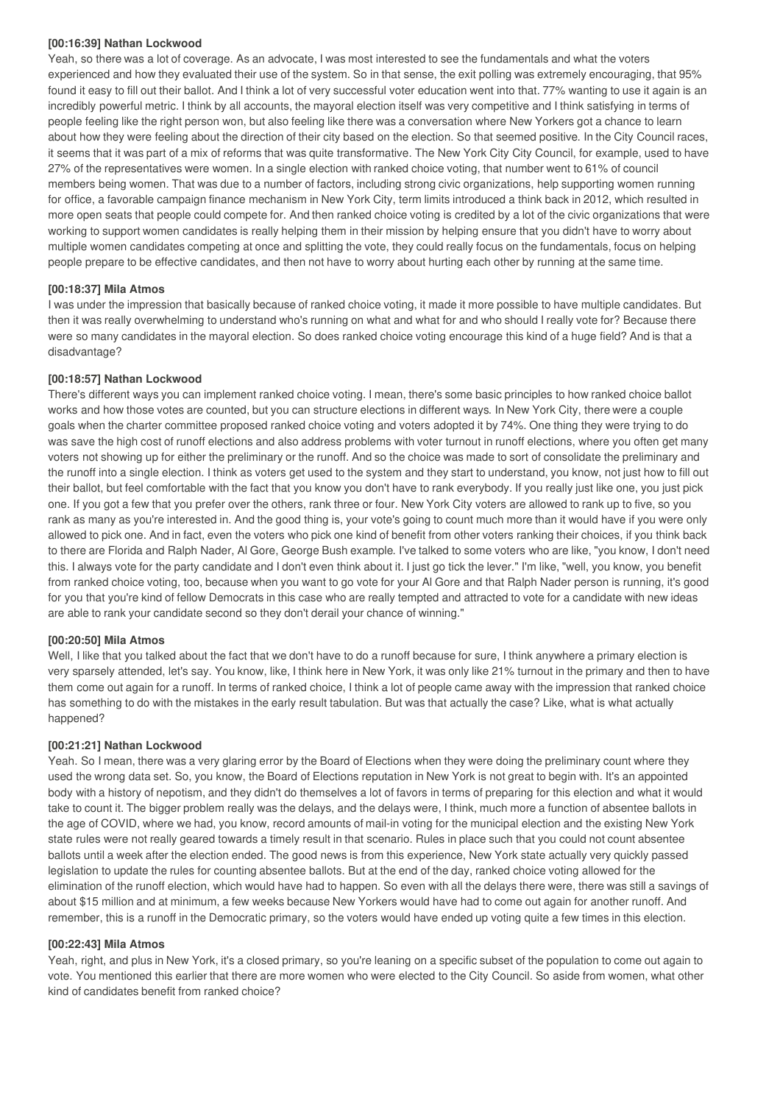#### **[00:16:39] Nathan Lockwood**

Yeah, so there was a lot of coverage. As an advocate, I was most interested to see the fundamentals and what the voters experienced and how they evaluated their use of the system. So in that sense, the exit polling was extremely encouraging, that 95% found it easy to fill out their ballot. And I think a lot of very successful voter education went into that. 77% wanting to use it again is an incredibly powerful metric. I think by all accounts, the mayoral election itself was very competitive and I think satisfying in terms of people feeling like the right person won, but also feeling like there was a conversation where New Yorkers got a chance to learn about how they were feeling about the direction of their city based on the election. So that seemed positive. In the City Council races, it seems that it was part of a mix of reforms that was quite transformative. The New York City City Council, for example, used to have 27% of the representatives were women. In a single election with ranked choice voting, that number went to 61% of council members being women. That was due to a number of factors, including strong civic organizations, help supporting women running for office, a favorable campaign finance mechanism in New York City, term limits introduced a think back in 2012, which resulted in more open seats that people could compete for. And then ranked choice voting is credited by a lot of the civic organizations that were working to support women candidates is really helping them in their mission by helping ensure that you didn't have to worry about multiple women candidates competing at once and splitting the vote, they could really focus on the fundamentals, focus on helping people prepare to be effective candidates, and then not have to worry about hurting each other by running at the same time.

#### **[00:18:37] Mila Atmos**

I was under the impression that basically because of ranked choice voting, it made it more possible to have multiple candidates. But then it was really overwhelming to understand who's running on what and what for and who should I really vote for? Because there were so many candidates in the mayoral election. So does ranked choice voting encourage this kind of a huge field? And is that a disadvantage?

#### **[00:18:57] Nathan Lockwood**

There's different ways you can implement ranked choice voting. I mean, there's some basic principles to how ranked choice ballot works and how those votes are counted, but you can structure elections in different ways. In New York City, there were a couple goals when the charter committee proposed ranked choice voting and voters adopted it by 74%. One thing they were trying to do was save the high cost of runoff elections and also address problems with voter turnout in runoff elections, where you often get many voters not showing up for either the preliminary or the runoff. And so the choice was made to sort of consolidate the preliminary and the runoff into a single election. I think as voters get used to the system and they start to understand, you know, not just how to fill out their ballot, but feel comfortable with the fact that you know you don't have to rank everybody. If you really just like one, you just pick one. If you got a few that you prefer over the others, rank three or four. New York City voters are allowed to rank up to five, so you rank as many as you're interested in. And the good thing is, your vote's going to count much more than it would have if you were only allowed to pick one. And in fact, even the voters who pick one kind of benefit from other voters ranking their choices, if you think back to there are Florida and Ralph Nader, Al Gore, George Bush example. I've talked to some voters who are like, "you know, I don't need this. I always vote for the party candidate and I don't even think about it. I just go tick the lever." I'm like, "well, you know, you benefit from ranked choice voting, too, because when you want to go vote for your Al Gore and that Ralph Nader person is running, it's good for you that you're kind of fellow Democrats in this case who are really tempted and attracted to vote for a candidate with new ideas are able to rank your candidate second so they don't derail your chance of winning."

#### **[00:20:50] Mila Atmos**

Well, I like that you talked about the fact that we don't have to do a runoff because for sure, I think anywhere a primary election is very sparsely attended, let's say. You know, like, I think here in New York, it was only like 21% turnout in the primary and then to have them come out again for a runoff. In terms of ranked choice, I think a lot of people came away with the impression that ranked choice has something to do with the mistakes in the early result tabulation. But was that actually the case? Like, what is what actually happened?

#### **[00:21:21] Nathan Lockwood**

Yeah. So I mean, there was a very glaring error by the Board of Elections when they were doing the preliminary count where they used the wrong data set. So, you know, the Board of Elections reputation in New York is not great to begin with. It's an appointed body with a history of nepotism, and they didn't do themselves a lot of favors in terms of preparing for this election and what it would take to count it. The bigger problem really was the delays, and the delays were, I think, much more a function of absentee ballots in the age of COVID, where we had, you know, record amounts of mail-in voting for the municipal election and the existing New York state rules were not really geared towards a timely result in that scenario. Rules in place such that you could not count absentee ballots until a week after the election ended. The good news is from this experience, New York state actually very quickly passed legislation to update the rules for counting absentee ballots. But at the end of the day, ranked choice voting allowed for the elimination of the runoff election, which would have had to happen. So even with all the delays there were, there was still a savings of about \$15 million and at minimum, a few weeks because New Yorkers would have had to come out again for another runoff. And remember, this is a runoff in the Democratic primary, so the voters would have ended up voting quite a few times in this election.

#### **[00:22:43] Mila Atmos**

Yeah, right, and plus in New York, it's a closed primary, so you're leaning on a specific subset of the population to come out again to vote. You mentioned this earlier that there are more women who were elected to the City Council. So aside from women, what other kind of candidates benefit from ranked choice?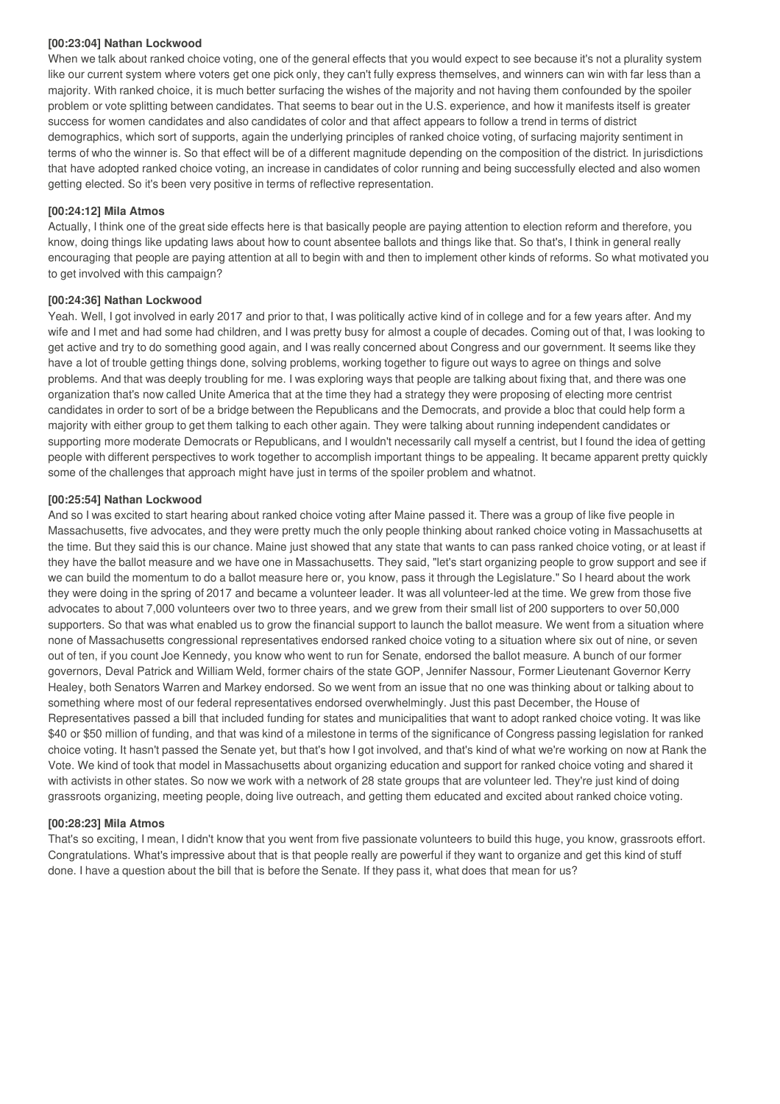#### **[00:23:04] Nathan Lockwood**

When we talk about ranked choice voting, one of the general effects that you would expect to see because it's not a plurality system like our current system where voters get one pick only, they can't fully express themselves, and winners can win with far less than a majority. With ranked choice, it is much better surfacing the wishes of the majority and not having them confounded by the spoiler problem or vote splitting between candidates. That seems to bear out in the U.S. experience, and how it manifests itself is greater success for women candidates and also candidates of color and that affect appears to follow a trend in terms of district demographics, which sort of supports, again the underlying principles of ranked choice voting, of surfacing majority sentiment in terms of who the winner is. So that effect will be of a different magnitude depending on the composition of the district. In jurisdictions that have adopted ranked choice voting, an increase in candidates of color running and being successfully elected and also women getting elected. So it's been very positive in terms of reflective representation.

#### **[00:24:12] Mila Atmos**

Actually, I think one of the great side effects here is that basically people are paying attention to election reform and therefore, you know, doing things like updating laws about how to count absentee ballots and things like that. So that's, I think in general really encouraging that people are paying attention at all to begin with and then to implement other kinds of reforms. So what motivated you to get involved with this campaign?

#### **[00:24:36] Nathan Lockwood**

Yeah. Well, I got involved in early 2017 and prior to that, I was politically active kind of in college and for a few years after. And my wife and I met and had some had children, and I was pretty busy for almost a couple of decades. Coming out of that, I was looking to get active and try to do something good again, and I was really concerned about Congress and our government. It seems like they have a lot of trouble getting things done, solving problems, working together to figure out ways to agree on things and solve problems. And that was deeply troubling for me. I was exploring ways that people are talking about fixing that, and there was one organization that's now called Unite America that at the time they had a strategy they were proposing of electing more centrist candidates in order to sort of be a bridge between the Republicans and the Democrats, and provide a bloc that could help form a majority with either group to get them talking to each other again. They were talking about running independent candidates or supporting more moderate Democrats or Republicans, and I wouldn't necessarily call myself a centrist, but I found the idea of getting people with different perspectives to work together to accomplish important things to be appealing. It became apparent pretty quickly some of the challenges that approach might have just in terms of the spoiler problem and whatnot.

#### **[00:25:54] Nathan Lockwood**

And so I was excited to start hearing about ranked choice voting after Maine passed it. There was a group of like five people in Massachusetts, five advocates, and they were pretty much the only people thinking about ranked choice voting in Massachusetts at the time. But they said this is our chance. Maine just showed that any state that wants to can pass ranked choice voting, or at least if they have the ballot measure and we have one in Massachusetts. They said, "let's start organizing people to grow support and see if we can build the momentum to do a ballot measure here or, you know, pass it through the Legislature." So I heard about the work they were doing in the spring of 2017 and became a volunteer leader. It was all volunteer-led at the time. We grew from those five advocates to about 7,000 volunteers over two to three years, and we grew from their small list of 200 supporters to over 50,000 supporters. So that was what enabled us to grow the financial support to launch the ballot measure. We went from a situation where none of Massachusetts congressional representatives endorsed ranked choice voting to a situation where six out of nine, or seven out of ten, if you count Joe Kennedy, you know who went to run for Senate, endorsed the ballot measure. A bunch of our former governors, Deval Patrick and William Weld, former chairs of the state GOP, Jennifer Nassour, Former Lieutenant Governor Kerry Healey, both Senators Warren and Markey endorsed. So we went from an issue that no one was thinking about or talking about to something where most of our federal representatives endorsed overwhelmingly. Just this past December, the House of Representatives passed a bill that included funding for states and municipalities that want to adopt ranked choice voting. It was like \$40 or \$50 million of funding, and that was kind of a milestone in terms of the significance of Congress passing legislation for ranked choice voting. It hasn't passed the Senate yet, but that's how I got involved, and that's kind of what we're working on now at Rank the Vote. We kind of took that model in Massachusetts about organizing education and support for ranked choice voting and shared it with activists in other states. So now we work with a network of 28 state groups that are volunteer led. They're just kind of doing grassroots organizing, meeting people, doing live outreach, and getting them educated and excited about ranked choice voting.

#### **[00:28:23] Mila Atmos**

That's so exciting, I mean, I didn't know that you went from five passionate volunteers to build this huge, you know, grassroots effort. Congratulations. What's impressive about that is that people really are powerful if they want to organize and get this kind of stuff done. I have a question about the bill that is before the Senate. If they pass it, what does that mean for us?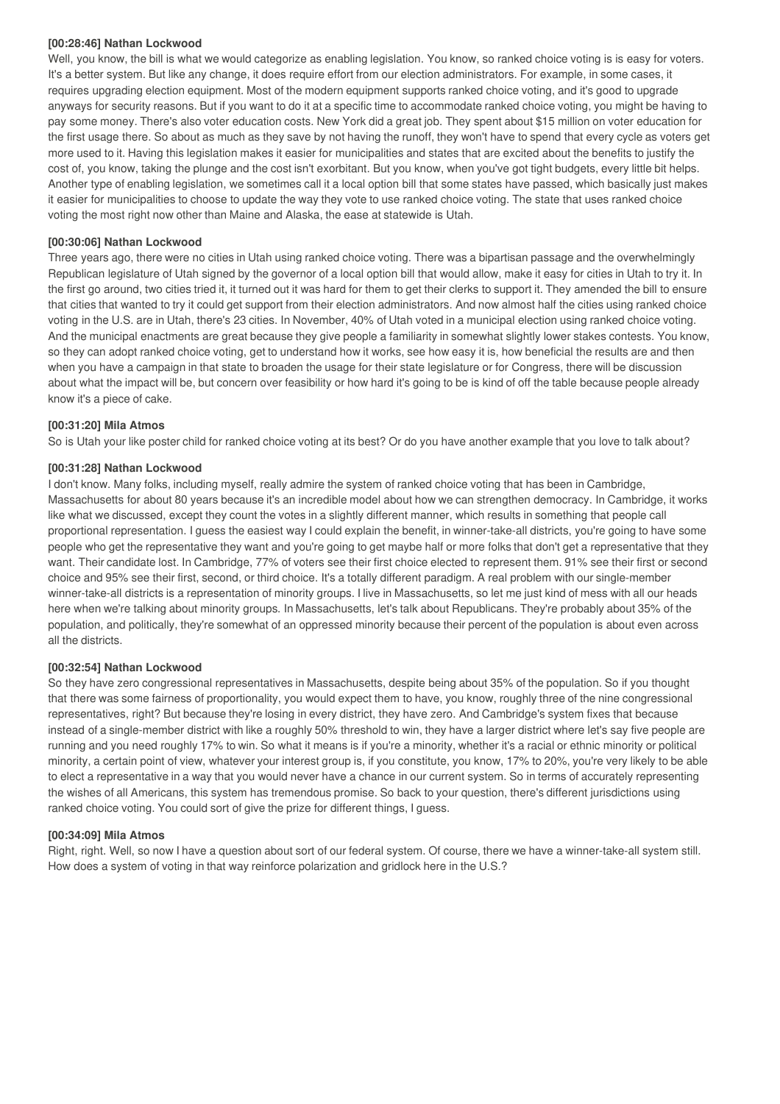#### **[00:28:46] Nathan Lockwood**

Well, you know, the bill is what we would categorize as enabling legislation. You know, so ranked choice voting is is easy for voters. It's a better system. But like any change, it does require effort from our election administrators. For example, in some cases, it requires upgrading election equipment. Most of the modern equipment supports ranked choice voting, and it's good to upgrade anyways for security reasons. But if you want to do it at a specific time to accommodate ranked choice voting, you might be having to pay some money. There's also voter education costs. New York did a great job. They spent about \$15 million on voter education for the first usage there. So about as much as they save by not having the runoff, they won't have to spend that every cycle as voters get more used to it. Having this legislation makes it easier for municipalities and states that are excited about the benefits to justify the cost of, you know, taking the plunge and the cost isn't exorbitant. But you know, when you've got tight budgets, every little bit helps. Another type of enabling legislation, we sometimes call it a local option bill that some states have passed, which basically just makes it easier for municipalities to choose to update the way they vote to use ranked choice voting. The state that uses ranked choice voting the most right now other than Maine and Alaska, the ease at statewide is Utah.

# **[00:30:06] Nathan Lockwood**

Three years ago, there were no cities in Utah using ranked choice voting. There was a bipartisan passage and the overwhelmingly Republican legislature of Utah signed by the governor of a local option bill that would allow, make it easy for cities in Utah to try it. In the first go around, two cities tried it, it turned out it was hard for them to get their clerks to support it. They amended the bill to ensure that cities that wanted to try it could get support from their election administrators. And now almost half the cities using ranked choice voting in the U.S. are in Utah, there's 23 cities. In November, 40% of Utah voted in a municipal election using ranked choice voting. And the municipal enactments are great because they give people a familiarity in somewhat slightly lower stakes contests. You know, so they can adopt ranked choice voting, get to understand how it works, see how easy it is, how beneficial the results are and then when you have a campaign in that state to broaden the usage for their state legislature or for Congress, there will be discussion about what the impact will be, but concern over feasibility or how hard it's going to be is kind of off the table because people already know it's a piece of cake.

#### **[00:31:20] Mila Atmos**

So is Utah your like poster child for ranked choice voting at its best? Or do you have another example that you love to talk about?

#### **[00:31:28] Nathan Lockwood**

I don't know. Many folks, including myself, really admire the system of ranked choice voting that has been in Cambridge, Massachusetts for about 80 years because it's an incredible model about how we can strengthen democracy. In Cambridge, it works like what we discussed, except they count the votes in a slightly different manner, which results in something that people call proportional representation. I guess the easiest way I could explain the benefit, in winner-take-all districts, you're going to have some people who get the representative they want and you're going to get maybe half or more folks that don't get a representative that they want. Their candidate lost. In Cambridge, 77% of voters see their first choice elected to represent them. 91% see their first or second choice and 95% see their first, second, or third choice. It's a totally different paradigm. A real problem with our single-member winner-take-all districts is a representation of minority groups. I live in Massachusetts, so let me just kind of mess with all our heads here when we're talking about minority groups. In Massachusetts, let's talk about Republicans. They're probably about 35% of the population, and politically, they're somewhat of an oppressed minority because their percent of the population is about even across all the districts.

#### **[00:32:54] Nathan Lockwood**

So they have zero congressional representatives in Massachusetts, despite being about 35% of the population. So if you thought that there was some fairness of proportionality, you would expect them to have, you know, roughly three of the nine congressional representatives, right? But because they're losing in every district, they have zero. And Cambridge's system fixes that because instead of a single-member district with like a roughly 50% threshold to win, they have a larger district where let's say five people are running and you need roughly 17% to win. So what it means is if you're a minority, whether it's a racial or ethnic minority or political minority, a certain point of view, whatever your interest group is, if you constitute, you know, 17% to 20%, you're very likely to be able to elect a representative in a way that you would never have a chance in our current system. So in terms of accurately representing the wishes of all Americans, this system has tremendous promise. So back to your question, there's different jurisdictions using ranked choice voting. You could sort of give the prize for different things, I guess.

#### **[00:34:09] Mila Atmos**

Right, right. Well, so now I have a question about sort of our federal system. Of course, there we have a winner-take-all system still. How does a system of voting in that way reinforce polarization and gridlock here in the U.S.?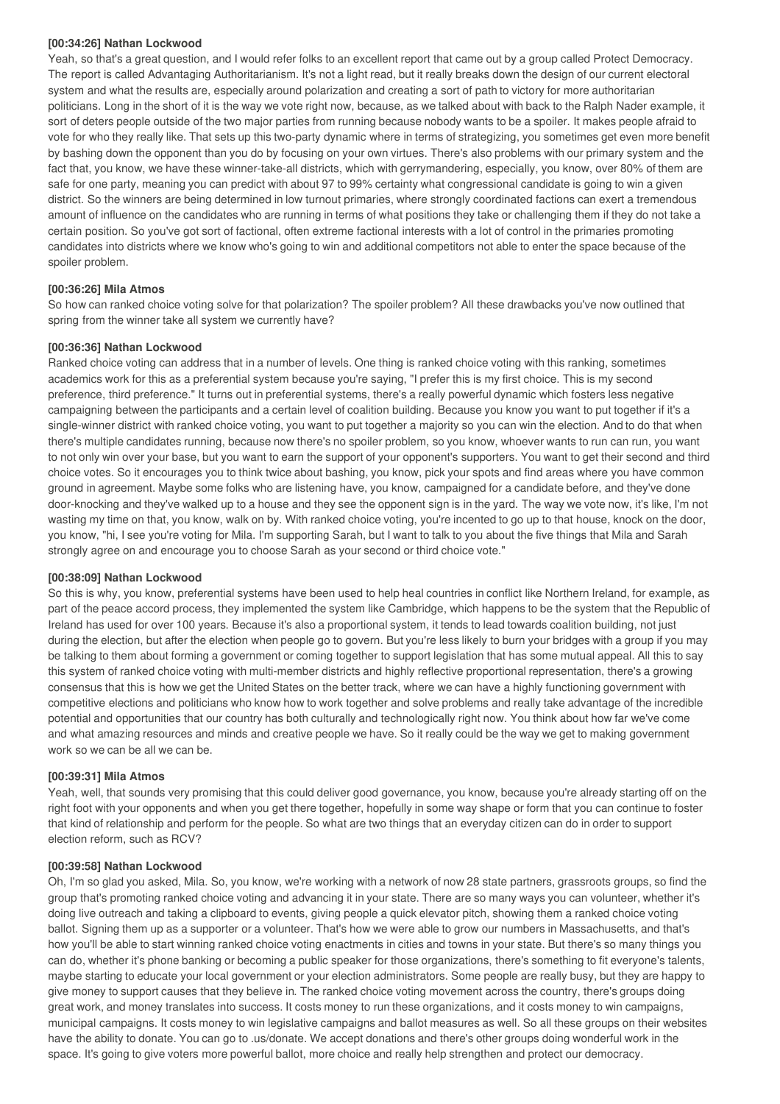#### **[00:34:26] Nathan Lockwood**

Yeah, so that's a great question, and I would refer folks to an excellent report that came out by a group called Protect Democracy. The report is called Advantaging Authoritarianism. It's not a light read, but it really breaks down the design of our current electoral system and what the results are, especially around polarization and creating a sort of path to victory for more authoritarian politicians. Long in the short of it is the way we vote right now, because, as we talked about with back to the Ralph Nader example, it sort of deters people outside of the two major parties from running because nobody wants to be a spoiler. It makes people afraid to vote for who they really like. That sets up this two-party dynamic where in terms of strategizing, you sometimes get even more benefit by bashing down the opponent than you do by focusing on your own virtues. There's also problems with our primary system and the fact that, you know, we have these winner-take-all districts, which with gerrymandering, especially, you know, over 80% of them are safe for one party, meaning you can predict with about 97 to 99% certainty what congressional candidate is going to win a given district. So the winners are being determined in low turnout primaries, where strongly coordinated factions can exert a tremendous amount of influence on the candidates who are running in terms of what positions they take or challenging them if they do not take a certain position. So you've got sort of factional, often extreme factional interests with a lot of control in the primaries promoting candidates into districts where we know who's going to win and additional competitors not able to enter the space because of the spoiler problem.

# **[00:36:26] Mila Atmos**

So how can ranked choice voting solve for that polarization? The spoiler problem? All these drawbacks you've now outlined that spring from the winner take all system we currently have?

# **[00:36:36] Nathan Lockwood**

Ranked choice voting can address that in a number of levels. One thing is ranked choice voting with this ranking, sometimes academics work for this as a preferential system because you're saying, "I prefer this is my first choice. This is my second preference, third preference." It turns out in preferential systems, there's a really powerful dynamic which fosters less negative campaigning between the participants and a certain level of coalition building. Because you know you want to put together if it's a single-winner district with ranked choice voting, you want to put together a majority so you can win the election. And to do that when there's multiple candidates running, because now there's no spoiler problem, so you know, whoever wants to run can run, you want to not only win over your base, but you want to earn the support of your opponent's supporters. You want to get their second and third choice votes. So it encourages you to think twice about bashing, you know, pick your spots and find areas where you have common ground in agreement. Maybe some folks who are listening have, you know, campaigned for a candidate before, and they've done door-knocking and they've walked up to a house and they see the opponent sign is in the yard. The way we vote now, it's like, I'm not wasting my time on that, you know, walk on by. With ranked choice voting, you're incented to go up to that house, knock on the door, you know, "hi, I see you're voting for Mila. I'm supporting Sarah, but I want to talk to you about the five things that Mila and Sarah strongly agree on and encourage you to choose Sarah as your second or third choice vote."

# **[00:38:09] Nathan Lockwood**

So this is why, you know, preferential systems have been used to help heal countries in conflict like Northern Ireland, for example, as part of the peace accord process, they implemented the system like Cambridge, which happens to be the system that the Republic of Ireland has used for over 100 years. Because it's also a proportional system, it tends to lead towards coalition building, not just during the election, but after the election when people go to govern. But you're less likely to burn your bridges with a group if you may be talking to them about forming a government or coming together to support legislation that has some mutual appeal. All this to say this system of ranked choice voting with multi-member districts and highly reflective proportional representation, there's a growing consensus that this is how we get the United States on the better track, where we can have a highly functioning government with competitive elections and politicians who know how to work together and solve problems and really take advantage of the incredible potential and opportunities that our country has both culturally and technologically right now. You think about how far we've come and what amazing resources and minds and creative people we have. So it really could be the way we get to making government work so we can be all we can be.

#### **[00:39:31] Mila Atmos**

Yeah, well, that sounds very promising that this could deliver good governance, you know, because you're already starting off on the right foot with your opponents and when you get there together, hopefully in some way shape or form that you can continue to foster that kind of relationship and perform for the people. So what are two things that an everyday citizen can do in order to support election reform, such as RCV?

#### **[00:39:58] Nathan Lockwood**

Oh, I'm so glad you asked, Mila. So, you know, we're working with a network of now 28 state partners, grassroots groups, so find the group that's promoting ranked choice voting and advancing it in your state. There are so many ways you can volunteer, whether it's doing live outreach and taking a clipboard to events, giving people a quick elevator pitch, showing them a ranked choice voting ballot. Signing them up as a supporter or a volunteer. That's how we were able to grow our numbers in Massachusetts, and that's how you'll be able to start winning ranked choice voting enactments in cities and towns in your state. But there's so many things you can do, whether it's phone banking or becoming a public speaker for those organizations, there's something to fit everyone's talents, maybe starting to educate your local government or your election administrators. Some people are really busy, but they are happy to give money to support causes that they believe in. The ranked choice voting movement across the country, there's groups doing great work, and money translates into success. It costs money to run these organizations, and it costs money to win campaigns, municipal campaigns. It costs money to win legislative campaigns and ballot measures as well. So all these groups on their websites have the ability to donate. You can go to .us/donate. We accept donations and there's other groups doing wonderful work in the space. It's going to give voters more powerful ballot, more choice and really help strengthen and protect our democracy.